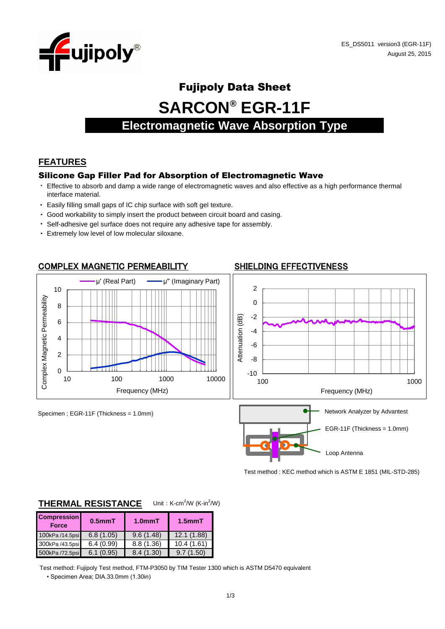

# Fujipoly Data Sheet

**SARCON® EGR-11F**

# **Electromagnetic Wave Absorption Type**

# **FEATURES**

#### Silicone Gap Filler Pad for Absorption of Electromagnetic Wave

- ・ Effective to absorb and damp a wide range of electromagnetic waves and also effective as a high performance thermal interface material.
- ・ Easily filling small gaps of IC chip surface with soft gel texture.
- ・ Good workability to simply insert the product between circuit board and casing.
- ・ Self-adhesive gel surface does not require any adhesive tape for assembly.
- ・ Extremely low level of low molecular siloxane.



Test method : KEC method which is ASTM E 1851 (MIL-STD-285)

| <b>Compression</b><br><b>Force</b> | $0.5$ mm $T$ | 1.0 <sub>mm</sub> T | $1.5$ mm $T$ |
|------------------------------------|--------------|---------------------|--------------|
| 100kPa /14.5psi                    | 6.8(1.05)    | 9.6(1.48)           | 12.1(1.88)   |
| 300kPa /43.5psi                    | 6.4(0.99)    | 8.8(1.36)           | 10.4(1.61)   |
| 500kPa /72.5psi                    | 6.1(0.95)    | 8.4(1.30)           | 9.7(1.50)    |

#### **THERMAL RESISTANCE** Unit: K-cm<sup>2</sup>/W (K-in<sup>2</sup>/W)

• Specimen Area; DIA.33.0mm (1.30in) Test method: Fujipoly Test method, FTM-P3050 by TIM Tester 1300 which is ASTM D5470 equivalent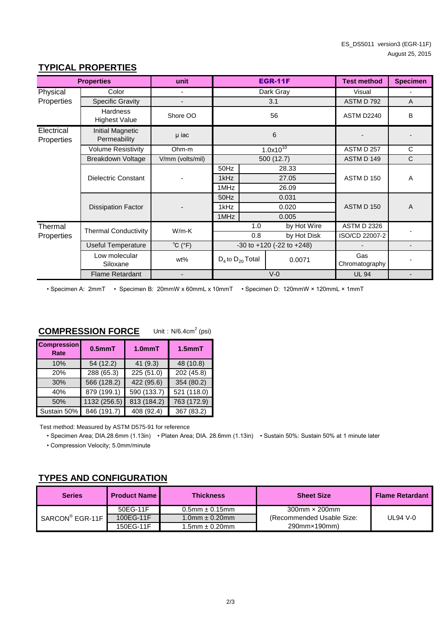|                          | <b>Properties</b>                                   | unit                        |                                     |              | <b>EGR-11F</b>        | <b>Test method</b> | <b>Specimen</b>          |
|--------------------------|-----------------------------------------------------|-----------------------------|-------------------------------------|--------------|-----------------------|--------------------|--------------------------|
| Physical                 | Color                                               |                             |                                     |              | Dark Gray             | Visual             | $\overline{\phantom{a}}$ |
| Properties               | Specific Gravity                                    |                             | 3.1                                 |              | ASTM D 792            | $\overline{A}$     |                          |
|                          | <b>Hardness</b><br><b>Highest Value</b>             | Shore OO                    | 56                                  |              | <b>ASTM D2240</b>     | B                  |                          |
| Electrical<br>Properties | Initial Magnetic<br>6<br>µ iac<br>Permeability      |                             |                                     |              |                       |                    |                          |
|                          | <b>Volume Resistivity</b>                           | Ohm-m                       | $1.0x10^{10}$                       |              | ASTM D 257            | C                  |                          |
|                          | Breakdown Voltage                                   | V/mm (volts/mil)            | 500 (12.7)                          |              | ASTM D 149            | $\mathsf{C}$       |                          |
|                          | <b>Dielectric Constant</b>                          |                             | 50Hz                                |              | 28.33                 |                    | A                        |
|                          |                                                     |                             | 1kHz                                |              | 27.05                 | ASTM D 150         |                          |
|                          |                                                     |                             | 1MHz                                |              | 26.09                 |                    |                          |
|                          | <b>Dissipation Factor</b>                           |                             | 50Hz                                |              | 0.031                 |                    | A                        |
|                          |                                                     |                             | 1kHz                                |              | 0.020                 | ASTM D 150         |                          |
|                          |                                                     |                             | 1MHz                                |              | 0.005                 |                    |                          |
| Thermal                  |                                                     | $W/m-K$                     |                                     | 1.0          | by Hot Wire           | <b>ASTM D 2326</b> |                          |
| Properties               | <b>Thermal Conductivity</b>                         |                             |                                     | 0.8          | by Hot Disk           | ISO/CD 22007-2     |                          |
|                          | <b>Useful Temperature</b>                           | $^{\circ}C$ ( $^{\circ}F$ ) | $-30$ to $+120$ ( $-22$ to $+248$ ) |              |                       |                    |                          |
|                          | Low molecular<br>Siloxane                           | wt%                         | $D_4$ to $D_{20}$ Total<br>0.0071   |              | Gas<br>Chromatography |                    |                          |
|                          | <b>Flame Retardant</b><br>$V - 0$<br>$\blacksquare$ |                             |                                     | <b>UL 94</b> |                       |                    |                          |

#### **TYPICAL PROPERTIES**

• Specimen A: 2mmT • Specimen B: 20mmW x 60mmL x 10mmT • Specimen D: 120mmW × 120mmL × 1mmT

#### COMPRESSION FORCE Unit: N/6.4cm<sup>2</sup> (psi)

| <b>Compression</b><br>Rate | $0.5mm$ T    | $1.0mm$ T   | $1.5mm$ T              |  |
|----------------------------|--------------|-------------|------------------------|--|
| 10%                        | 54 (12.2)    | 41(9.3)     | 48 (10.8)              |  |
| 20%                        | 288(65.3)    | 225(51.0)   | $\overline{202(45.8)}$ |  |
| 30%                        | 566 (128.2)  | 422 (95.6)  | 354 (80.2)             |  |
| 40%                        | 879 (199.1)  | 590 (133.7) | 521 (118.0)            |  |
| 50%                        | 1132 (256.5) | 813 (184.2) | 763 (172.9)            |  |
| Sustain 50%                | 846(191.7)   | 408 (92.4)  | 367 (83.2)             |  |

Test method: Measured by ASTM D575-91 for reference

• Specimen Area; DIA.28.6mm (1.13in) • Platen Area; DIA. 28.6mm (1.13in) • Sustain 50%: Sustain 50% at 1 minute later

• Compression Velocity; 5.0mm/minute

# **TYPES AND CONFIGURATION**

| <b>Series</b>   | <b>Thickness</b><br><b>Product Name</b> |                        | <b>Sheet Size</b>         | <b>Flame Retardant</b> |
|-----------------|-----------------------------------------|------------------------|---------------------------|------------------------|
| SARCON® EGR-11F | 50EG-11F                                | $0.5$ mm $\pm 0.15$ mm | $300$ mm $\times$ 200mm   |                        |
|                 | 100EG-11F                               | $1.0$ mm $\pm$ 0.20mm  | (Recommended Usable Size: | UL94 V-0               |
|                 | 150EG-11F                               | $1.5$ mm $\pm$ 0.20mm  | 290mm×190mm)              |                        |